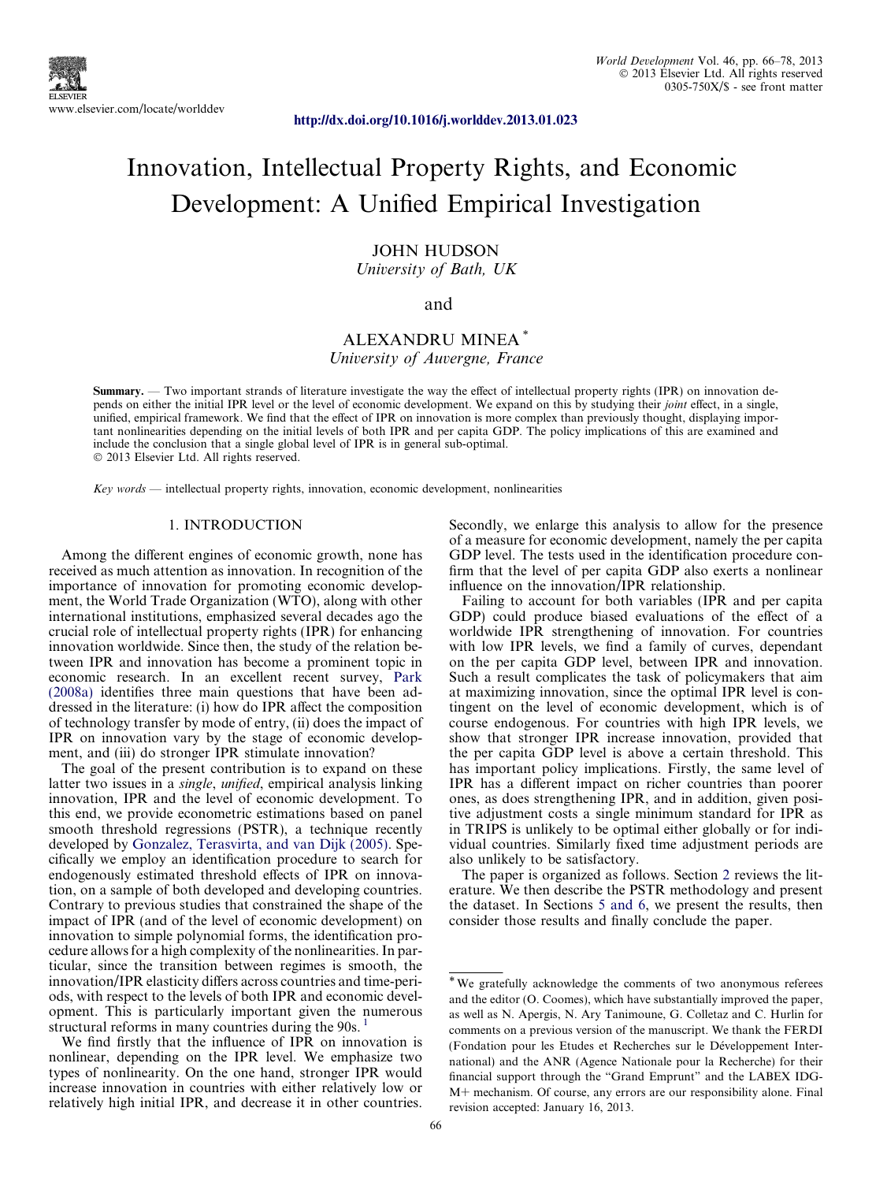<http://dx.doi.org/10.1016/j.worlddev.2013.01.023>

# Innovation, Intellectual Property Rights, and Economic Development: A Unified Empirical Investigation

### JOHN HUDSON University of Bath, UK

#### and

## ALEXANDRU MINEA \* University of Auvergne, France

Summary. — Two important strands of literature investigate the way the effect of intellectual property rights (IPR) on innovation depends on either the initial IPR level or the level of economic development. We expand on this by studying their joint effect, in a single, unified, empirical framework. We find that the effect of IPR on innovation is more complex than previously thought, displaying important nonlinearities depending on the initial levels of both IPR and per capita GDP. The policy implications of this are examined and include the conclusion that a single global level of IPR is in general sub-optimal. - 2013 Elsevier Ltd. All rights reserved.

Key words — intellectual property rights, innovation, economic development, nonlinearities

#### 1. INTRODUCTION

Among the different engines of economic growth, none has received as much attention as innovation. In recognition of the importance of innovation for promoting economic development, the World Trade Organization (WTO), along with other international institutions, emphasized several decades ago the crucial role of intellectual property rights (IPR) for enhancing innovation worldwide. Since then, the study of the relation between IPR and innovation has become a prominent topic in economic research. In an excellent recent survey, [Park](#page--1-0) [\(2008a\)](#page--1-0) identifies three main questions that have been addressed in the literature: (i) how do IPR affect the composition of technology transfer by mode of entry, (ii) does the impact of IPR on innovation vary by the stage of economic development, and (iii) do stronger IPR stimulate innovation?

The goal of the present contribution is to expand on these latter two issues in a single, unified, empirical analysis linking innovation, IPR and the level of economic development. To this end, we provide econometric estimations based on panel smooth threshold regressions (PSTR), a technique recently developed by [Gonzalez, Terasvirta, and van Dijk \(2005\).](#page--1-0) Specifically we employ an identification procedure to search for endogenously estimated threshold effects of IPR on innovation, on a sample of both developed and developing countries. Contrary to previous studies that constrained the shape of the impact of IPR (and of the level of economic development) on innovation to simple polynomial forms, the identification procedure allows for a high complexity of the nonlinearities. In particular, since the transition between regimes is smooth, the innovation/IPR elasticity differs across countries and time-periods, with respect to the levels of both IPR and economic development. This is particularly important given the numerous structural reforms in many countries during the 90s.

We find firstly that the influence of IPR on innovation is nonlinear, depending on the IPR level. We emphasize two types of nonlinearity. On the one hand, stronger IPR would increase innovation in countries with either relatively low or relatively high initial IPR, and decrease it in other countries.

Secondly, we enlarge this analysis to allow for the presence of a measure for economic development, namely the per capita GDP level. The tests used in the identification procedure confirm that the level of per capita GDP also exerts a nonlinear influence on the innovation/IPR relationship.

Failing to account for both variables (IPR and per capita GDP) could produce biased evaluations of the effect of a worldwide IPR strengthening of innovation. For countries with low IPR levels, we find a family of curves, dependant on the per capita GDP level, between IPR and innovation. Such a result complicates the task of policymakers that aim at maximizing innovation, since the optimal IPR level is contingent on the level of economic development, which is of course endogenous. For countries with high IPR levels, we show that stronger IPR increase innovation, provided that the per capita GDP level is above a certain threshold. This has important policy implications. Firstly, the same level of IPR has a different impact on richer countries than poorer ones, as does strengthening IPR, and in addition, given positive adjustment costs a single minimum standard for IPR as in TRIPS is unlikely to be optimal either globally or for individual countries. Similarly fixed time adjustment periods are also unlikely to be satisfactory.

The paper is organized as follows. Section 2 reviews the literature. We then describe the PSTR methodology and present the dataset. In Sections 5 and 6, we present the results, then consider those results and finally conclude the paper.

<sup>\*</sup>We gratefully acknowledge the comments of two anonymous referees and the editor (O. Coomes), which have substantially improved the paper, as well as N. Apergis, N. Ary Tanimoune, G. Colletaz and C. Hurlin for comments on a previous version of the manuscript. We thank the FERDI (Fondation pour les Etudes et Recherches sur le Développement International) and the ANR (Agence Nationale pour la Recherche) for their financial support through the "Grand Emprunt" and the LABEX IDG-M+ mechanism. Of course, any errors are our responsibility alone. Final revision accepted: January 16, 2013.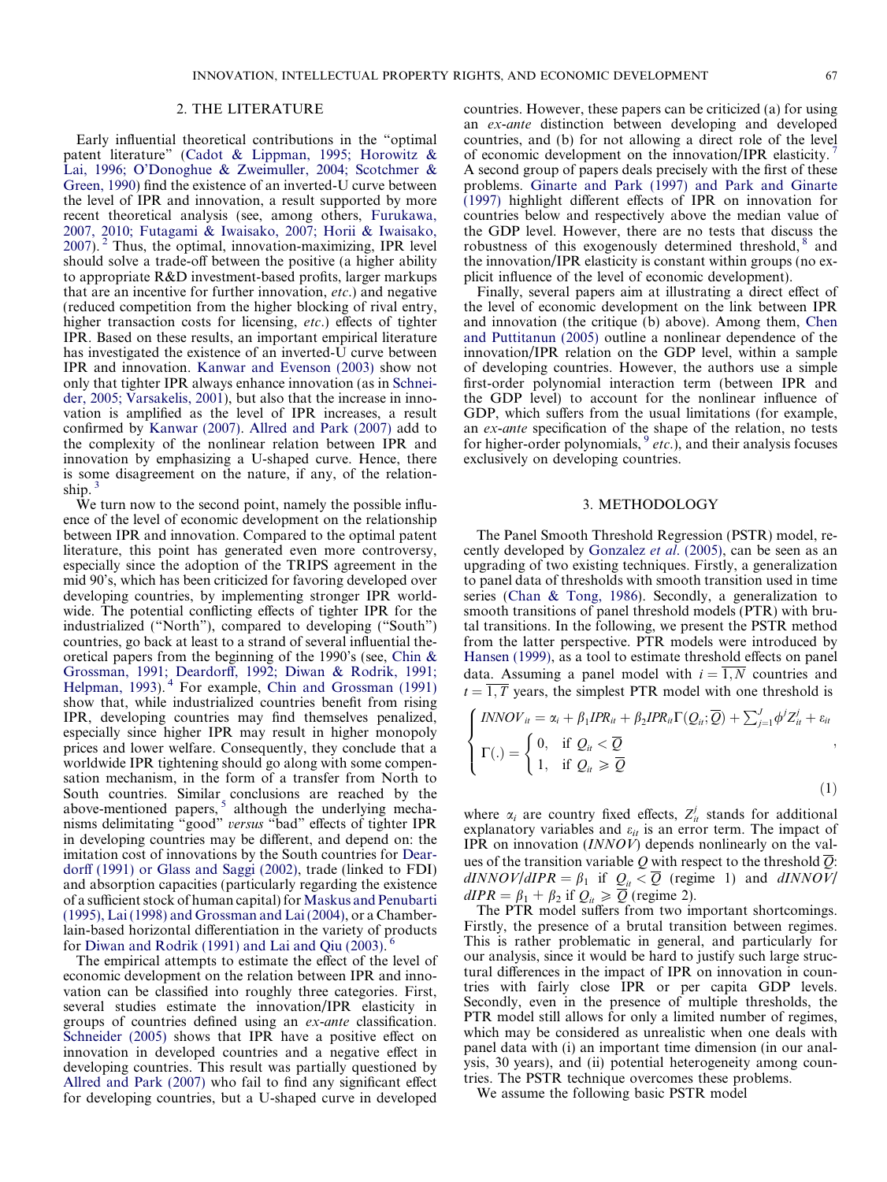#### 2. THE LITERATURE

Early influential theoretical contributions in the "optimal patent literature" ([Cadot & Lippman, 1995; Horowitz &](#page--1-0) [Lai, 1996; O'Donoghue & Zweimuller, 2004; Scotchmer &](#page--1-0) [Green, 1990](#page--1-0)) find the existence of an inverted-U curve between the level of IPR and innovation, a result supported by more recent theoretical analysis (see, among others, [Furukawa,](#page--1-0) [2007, 2010; Futagami & Iwaisako, 2007; Horii & Iwaisako,](#page--1-0) [2007](#page--1-0)). <sup>2</sup> Thus, the optimal, innovation-maximizing, IPR level should solve a trade-off between the positive (a higher ability to appropriate R&D investment-based profits, larger markups that are an incentive for further innovation, etc.) and negative (reduced competition from the higher blocking of rival entry, higher transaction costs for licensing, etc.) effects of tighter IPR. Based on these results, an important empirical literature has investigated the existence of an inverted-U curve between IPR and innovation. [Kanwar and Evenson \(2003\)](#page--1-0) show not only that tighter IPR always enhance innovation (as in [Schnei](#page--1-0)[der, 2005; Varsakelis, 2001](#page--1-0)), but also that the increase in innovation is amplified as the level of IPR increases, a result confirmed by [Kanwar \(2007\).](#page--1-0) [Allred and Park \(2007\)](#page--1-0) add to the complexity of the nonlinear relation between IPR and innovation by emphasizing a U-shaped curve. Hence, there is some disagreement on the nature, if any, of the relationship. $<sup>3</sup>$ </sup>

We turn now to the second point, namely the possible influence of the level of economic development on the relationship between IPR and innovation. Compared to the optimal patent literature, this point has generated even more controversy, especially since the adoption of the TRIPS agreement in the mid 90's, which has been criticized for favoring developed over developing countries, by implementing stronger IPR worldwide. The potential conflicting effects of tighter IPR for the industrialized ("North"), compared to developing ("South") countries, go back at least to a strand of several influential theoretical papers from the beginning of the 1990's (see, [Chin &](#page--1-0) [Grossman, 1991; Deardorff, 1992; Diwan & Rodrik, 1991;](#page--1-0) [Helpman, 1993\)](#page--1-0).<sup>4</sup> For example, [Chin and Grossman \(1991\)](#page--1-0) show that, while industrialized countries benefit from rising IPR, developing countries may find themselves penalized, especially since higher IPR may result in higher monopoly prices and lower welfare. Consequently, they conclude that a worldwide IPR tightening should go along with some compensation mechanism, in the form of a transfer from North to South countries. Similar conclusions are reached by the above-mentioned papers,<sup>5</sup> although the underlying mechanisms delimitating "good" versus "bad" effects of tighter IPR in developing countries may be different, and depend on: the imitation cost of innovations by the South countries for [Dear](#page--1-0)[dorff \(1991\) or Glass and Saggi \(2002\),](#page--1-0) trade (linked to FDI) and absorption capacities (particularly regarding the existence of a sufficient stock of human capital) for [Maskus and Penubarti](#page--1-0) [\(1995\), Lai \(1998\) and Grossman and Lai \(2004\),](#page--1-0) or a Chamberlain-based horizontal differentiation in the variety of products<br>for Diwan and Rodrik (1991) and Lai and Oiu (2003)  $^6$ for [Diwan and Rodrik \(1991\) and Lai and Qiu \(2003\).](#page--1-0)

The empirical attempts to estimate the effect of the level of economic development on the relation between IPR and innovation can be classified into roughly three categories. First, several studies estimate the innovation/IPR elasticity in groups of countries defined using an ex-ante classification. [Schneider \(2005\)](#page--1-0) shows that IPR have a positive effect on innovation in developed countries and a negative effect in developing countries. This result was partially questioned by [Allred and Park \(2007\)](#page--1-0) who fail to find any significant effect for developing countries, but a U-shaped curve in developed

countries. However, these papers can be criticized (a) for using an ex-ante distinction between developing and developed countries, and (b) for not allowing a direct role of the level of economic development on the innovation/IPR elasticity. <sup>7</sup> A second group of papers deals precisely with the first of these problems. [Ginarte and Park \(1997\) and Park and Ginarte](#page--1-0) [\(1997\)](#page--1-0) highlight different effects of IPR on innovation for countries below and respectively above the median value of the GDP level. However, there are no tests that discuss the robustness of this exogenously determined threshold,  $\delta$  and the innovation/IPR elasticity is constant within groups (no explicit influence of the level of economic development).

Finally, several papers aim at illustrating a direct effect of the level of economic development on the link between IPR and innovation (the critique (b) above). Among them, [Chen](#page--1-0) [and Puttitanun \(2005\)](#page--1-0) outline a nonlinear dependence of the innovation/IPR relation on the GDP level, within a sample of developing countries. However, the authors use a simple first-order polynomial interaction term (between IPR and the GDP level) to account for the nonlinear influence of GDP, which suffers from the usual limitations (for example, an ex-ante specification of the shape of the relation, no tests for higher-order polynomials,  $\partial$  *etc.*), and their analysis focuses exclusively on developing countries.

#### 3. METHODOLOGY

The Panel Smooth Threshold Regression (PSTR) model, recently developed by [Gonzalez](#page--1-0) et al. (2005), can be seen as an upgrading of two existing techniques. Firstly, a generalization to panel data of thresholds with smooth transition used in time series [\(Chan & Tong, 1986](#page--1-0)). Secondly, a generalization to smooth transitions of panel threshold models (PTR) with brutal transitions. In the following, we present the PSTR method from the latter perspective. PTR models were introduced by [Hansen \(1999\)](#page--1-0), as a tool to estimate threshold effects on panel data. Assuming a panel model with  $i = \overline{1, N}$  countries and  $t = \overline{1, T}$  years, the simplest PTR model with one threshold is

$$
\begin{cases}\nINNOV_{it} = \alpha_i + \beta_1 IPR_{it} + \beta_2 IPR_{it} \Gamma(Q_{it}; \overline{Q}) + \sum_{j=1}^J \phi^j Z_{it}^j + \varepsilon_{it} \\
\Gamma(.) = \begin{cases}\n0, & \text{if } Q_{it} < \overline{Q} \\
1, & \text{if } Q_{it} \geq \overline{Q}\n\end{cases}\n\end{cases}
$$
\n(1)

where  $\alpha_i$  are country fixed effects,  $Z_{it}^{j}$  stands for additional explanatory variables and  $\varepsilon_{it}$  is an error term. The impact of IPR on innovation (INNOV) depends nonlinearly on the values of the transition variable Q with respect to the threshold  $\overline{Q}$ :  $dINNOV/dIPR = \beta_1$  if  $Q_{it} < \overline{Q}$  (regime 1) and  $dINNOV$  $dIPR = \beta_1 + \beta_2$  if  $Q_{it} \geq \overline{Q}$  (regime 2).

The PTR model suffers from two important shortcomings. Firstly, the presence of a brutal transition between regimes. This is rather problematic in general, and particularly for our analysis, since it would be hard to justify such large structural differences in the impact of IPR on innovation in countries with fairly close IPR or per capita GDP levels. Secondly, even in the presence of multiple thresholds, the PTR model still allows for only a limited number of regimes, which may be considered as unrealistic when one deals with panel data with (i) an important time dimension (in our analysis, 30 years), and (ii) potential heterogeneity among countries. The PSTR technique overcomes these problems.

We assume the following basic PSTR model